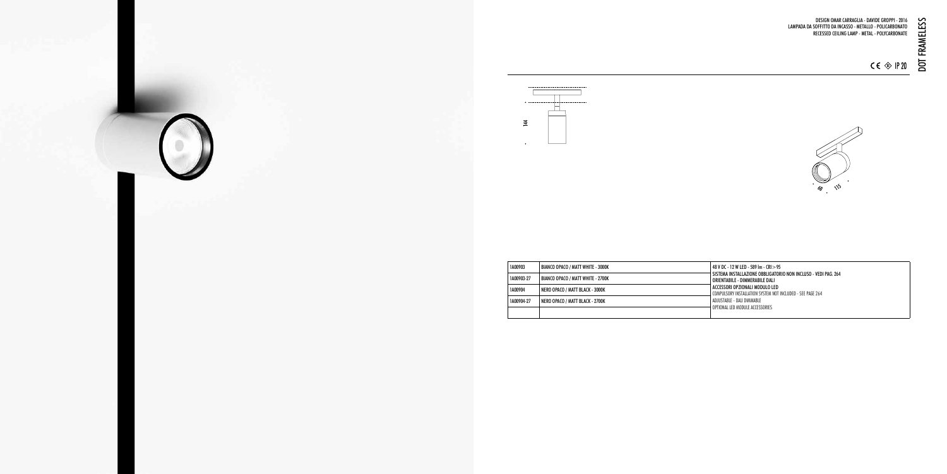DESIGN OMAR CARRAGLIA - DAVIDE GROPPI - 2016 LAMPADA DA SOFFITTO DA INCASSO - METALLO - POLICARBONATO RECESSED CEILING LAMP - METAL - POLYCARBONATE



SISTEMA INSTALLAZIONE OBBLIGATORIO NON INCLUSO - VEDI PAG. 264 ORIENTABILE - DIMMERABILE DALI ACCESSORI OPZIONALI MODULO LED COMPULSORY INSTALLATION SYSTEM NOT INCLUDED - SEE PAGE 264 ADJUSTABLE - DALI DIMMABLE OPTIONAL LED MODULE ACCESSORIES





|  | 1A00903    | <b>BIANCO OPACO / MATT WHITE - 3000K</b> | 48 V DC - 12 W LED - 589 Im - CRI > 95                                 |
|--|------------|------------------------------------------|------------------------------------------------------------------------|
|  | 1A00903-27 | BIANCO OPACO / MATT WHITE - 2700K        | SISTEMA INSTALLAZIONE OBBLIGATOR<br>ORIENTABILE - DIMMERABILE DALI     |
|  | 1A00904    | NERO OPACO / MATT BLACK - 3000K          | ACCESSORI OPZIONALI MODULO LED<br>COMPULSORY INSTALLATION SYSTEM NOT I |
|  | 1A00904-27 | NERO OPACO / MATT BLACK - 2700K          | ADJUSTABLE - DALI DIMMABLE                                             |
|  |            |                                          | OPTIONAL LED MODULE ACCESSORIES                                        |

DOT FRAMELESS